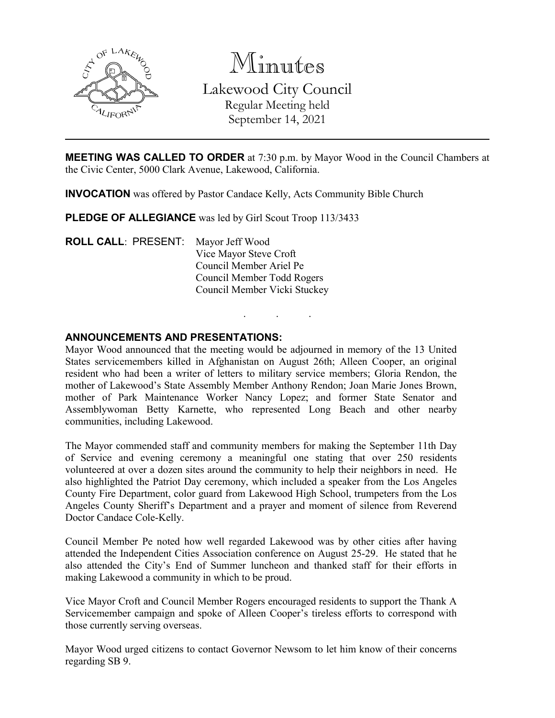

Minutes Lakewood City Council Regular Meeting held September 14, 2021

**MEETING WAS CALLED TO ORDER** at 7:30 p.m. by Mayor Wood in the Council Chambers at the Civic Center, 5000 Clark Avenue, Lakewood, California.

**INVOCATION** was offered by Pastor Candace Kelly, Acts Community Bible Church

**PLEDGE OF ALLEGIANCE** was led by Girl Scout Troop 113/3433

**ROLL CALL**: PRESENT: Mayor Jeff Wood Vice Mayor Steve Croft Council Member Ariel Pe Council Member Todd Rogers Council Member Vicki Stuckey

# **ANNOUNCEMENTS AND PRESENTATIONS:**

Mayor Wood announced that the meeting would be adjourned in memory of the 13 United States servicemembers killed in Afghanistan on August 26th; Alleen Cooper, an original resident who had been a writer of letters to military service members; Gloria Rendon, the mother of Lakewood's State Assembly Member Anthony Rendon; Joan Marie Jones Brown, mother of Park Maintenance Worker Nancy Lopez; and former State Senator and Assemblywoman Betty Karnette, who represented Long Beach and other nearby communities, including Lakewood.

. . .

The Mayor commended staff and community members for making the September 11th Day of Service and evening ceremony a meaningful one stating that over 250 residents volunteered at over a dozen sites around the community to help their neighbors in need. He also highlighted the Patriot Day ceremony, which included a speaker from the Los Angeles County Fire Department, color guard from Lakewood High School, trumpeters from the Los Angeles County Sheriff's Department and a prayer and moment of silence from Reverend Doctor Candace Cole-Kelly.

Council Member Pe noted how well regarded Lakewood was by other cities after having attended the Independent Cities Association conference on August 25-29. He stated that he also attended the City's End of Summer luncheon and thanked staff for their efforts in making Lakewood a community in which to be proud.

Vice Mayor Croft and Council Member Rogers encouraged residents to support the Thank A Servicemember campaign and spoke of Alleen Cooper's tireless efforts to correspond with those currently serving overseas.

Mayor Wood urged citizens to contact Governor Newsom to let him know of their concerns regarding SB 9.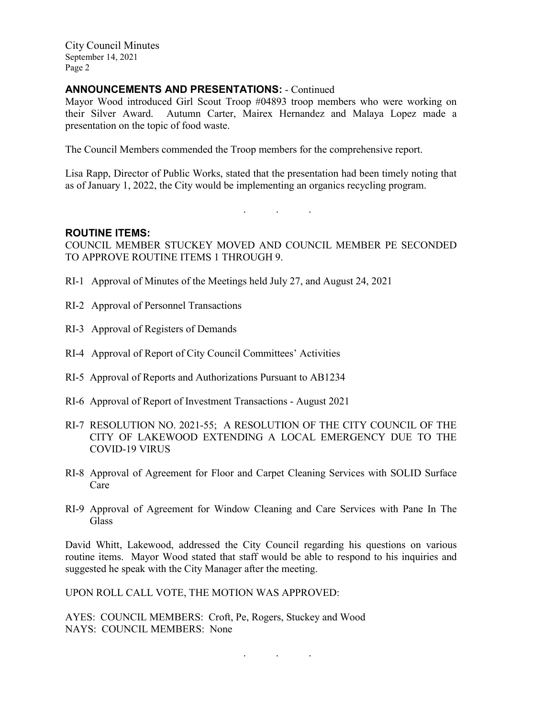## **ANNOUNCEMENTS AND PRESENTATIONS:** - Continued

Mayor Wood introduced Girl Scout Troop #04893 troop members who were working on their Silver Award. Autumn Carter, Mairex Hernandez and Malaya Lopez made a presentation on the topic of food waste.

The Council Members commended the Troop members for the comprehensive report.

Lisa Rapp, Director of Public Works, stated that the presentation had been timely noting that as of January 1, 2022, the City would be implementing an organics recycling program.

. . .

### **ROUTINE ITEMS:**

COUNCIL MEMBER STUCKEY MOVED AND COUNCIL MEMBER PE SECONDED TO APPROVE ROUTINE ITEMS 1 THROUGH 9.

- RI-1 Approval of Minutes of the Meetings held July 27, and August 24, 2021
- RI-2 Approval of Personnel Transactions
- RI-3 Approval of Registers of Demands
- RI-4 Approval of Report of City Council Committees' Activities
- RI-5 Approval of Reports and Authorizations Pursuant to AB1234
- RI-6 Approval of Report of Investment Transactions August 2021
- RI-7 RESOLUTION NO. 2021-55; A RESOLUTION OF THE CITY COUNCIL OF THE CITY OF LAKEWOOD EXTENDING A LOCAL EMERGENCY DUE TO THE COVID-19 VIRUS
- RI-8 Approval of Agreement for Floor and Carpet Cleaning Services with SOLID Surface Care
- RI-9 Approval of Agreement for Window Cleaning and Care Services with Pane In The **Glass**

David Whitt, Lakewood, addressed the City Council regarding his questions on various routine items. Mayor Wood stated that staff would be able to respond to his inquiries and suggested he speak with the City Manager after the meeting.

UPON ROLL CALL VOTE, THE MOTION WAS APPROVED:

AYES: COUNCIL MEMBERS: Croft, Pe, Rogers, Stuckey and Wood NAYS: COUNCIL MEMBERS: None

. . .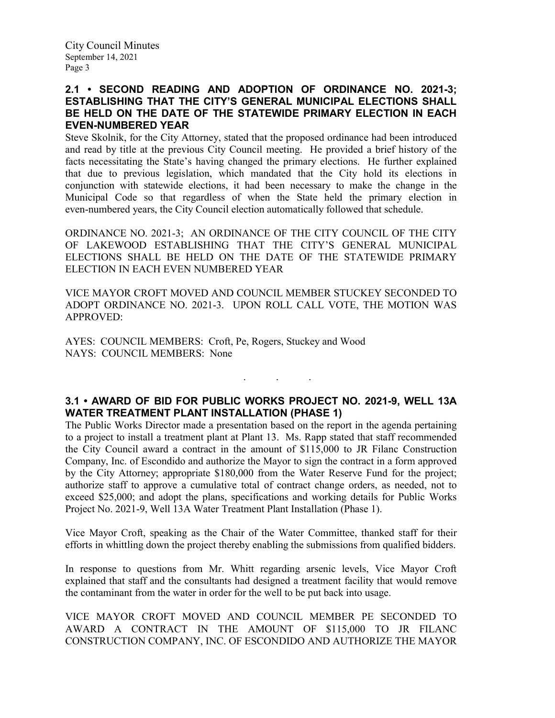# **2.1 • SECOND READING AND ADOPTION OF ORDINANCE NO. 2021-3; ESTABLISHING THAT THE CITY'S GENERAL MUNICIPAL ELECTIONS SHALL BE HELD ON THE DATE OF THE STATEWIDE PRIMARY ELECTION IN EACH EVEN-NUMBERED YEAR**

Steve Skolnik, for the City Attorney, stated that the proposed ordinance had been introduced and read by title at the previous City Council meeting. He provided a brief history of the facts necessitating the State's having changed the primary elections. He further explained that due to previous legislation, which mandated that the City hold its elections in conjunction with statewide elections, it had been necessary to make the change in the Municipal Code so that regardless of when the State held the primary election in even-numbered years, the City Council election automatically followed that schedule.

ORDINANCE NO. 2021-3; AN ORDINANCE OF THE CITY COUNCIL OF THE CITY OF LAKEWOOD ESTABLISHING THAT THE CITY'S GENERAL MUNICIPAL ELECTIONS SHALL BE HELD ON THE DATE OF THE STATEWIDE PRIMARY ELECTION IN EACH EVEN NUMBERED YEAR

VICE MAYOR CROFT MOVED AND COUNCIL MEMBER STUCKEY SECONDED TO ADOPT ORDINANCE NO. 2021-3. UPON ROLL CALL VOTE, THE MOTION WAS APPROVED:

AYES: COUNCIL MEMBERS: Croft, Pe, Rogers, Stuckey and Wood NAYS: COUNCIL MEMBERS: None

# **3.1 • AWARD OF BID FOR PUBLIC WORKS PROJECT NO. 2021-9, WELL 13A WATER TREATMENT PLANT INSTALLATION (PHASE 1)**

. . .

The Public Works Director made a presentation based on the report in the agenda pertaining to a project to install a treatment plant at Plant 13. Ms. Rapp stated that staff recommended the City Council award a contract in the amount of \$115,000 to JR Filanc Construction Company, Inc. of Escondido and authorize the Mayor to sign the contract in a form approved by the City Attorney; appropriate \$180,000 from the Water Reserve Fund for the project; authorize staff to approve a cumulative total of contract change orders, as needed, not to exceed \$25,000; and adopt the plans, specifications and working details for Public Works Project No. 2021-9, Well 13A Water Treatment Plant Installation (Phase 1).

Vice Mayor Croft, speaking as the Chair of the Water Committee, thanked staff for their efforts in whittling down the project thereby enabling the submissions from qualified bidders.

In response to questions from Mr. Whitt regarding arsenic levels, Vice Mayor Croft explained that staff and the consultants had designed a treatment facility that would remove the contaminant from the water in order for the well to be put back into usage.

VICE MAYOR CROFT MOVED AND COUNCIL MEMBER PE SECONDED TO AWARD A CONTRACT IN THE AMOUNT OF \$115,000 TO JR FILANC CONSTRUCTION COMPANY, INC. OF ESCONDIDO AND AUTHORIZE THE MAYOR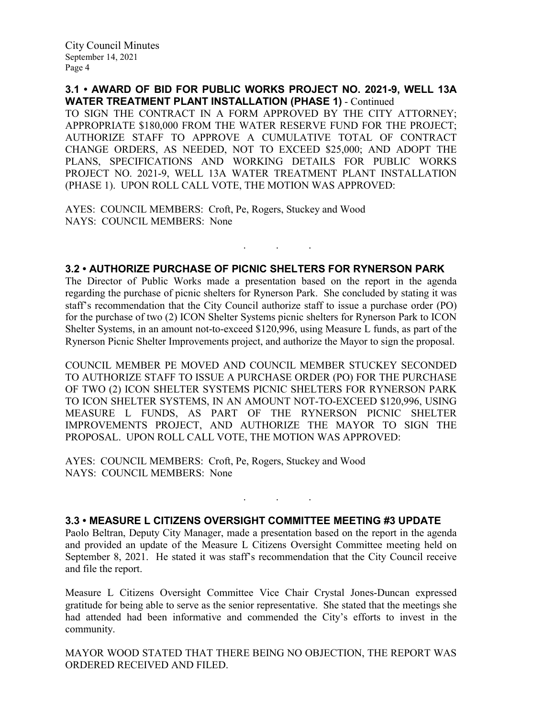**3.1 • AWARD OF BID FOR PUBLIC WORKS PROJECT NO. 2021-9, WELL 13A WATER TREATMENT PLANT INSTALLATION (PHASE 1)** - Continued

TO SIGN THE CONTRACT IN A FORM APPROVED BY THE CITY ATTORNEY; APPROPRIATE \$180,000 FROM THE WATER RESERVE FUND FOR THE PROJECT; AUTHORIZE STAFF TO APPROVE A CUMULATIVE TOTAL OF CONTRACT CHANGE ORDERS, AS NEEDED, NOT TO EXCEED \$25,000; AND ADOPT THE PLANS, SPECIFICATIONS AND WORKING DETAILS FOR PUBLIC WORKS PROJECT NO. 2021-9, WELL 13A WATER TREATMENT PLANT INSTALLATION (PHASE 1). UPON ROLL CALL VOTE, THE MOTION WAS APPROVED:

AYES: COUNCIL MEMBERS: Croft, Pe, Rogers, Stuckey and Wood NAYS: COUNCIL MEMBERS: None

#### **3.2 • AUTHORIZE PURCHASE OF PICNIC SHELTERS FOR RYNERSON PARK**

. . .

The Director of Public Works made a presentation based on the report in the agenda regarding the purchase of picnic shelters for Rynerson Park. She concluded by stating it was staff's recommendation that the City Council authorize staff to issue a purchase order (PO) for the purchase of two (2) ICON Shelter Systems picnic shelters for Rynerson Park to ICON Shelter Systems, in an amount not-to-exceed \$120,996, using Measure L funds, as part of the Rynerson Picnic Shelter Improvements project, and authorize the Mayor to sign the proposal.

COUNCIL MEMBER PE MOVED AND COUNCIL MEMBER STUCKEY SECONDED TO AUTHORIZE STAFF TO ISSUE A PURCHASE ORDER (PO) FOR THE PURCHASE OF TWO (2) ICON SHELTER SYSTEMS PICNIC SHELTERS FOR RYNERSON PARK TO ICON SHELTER SYSTEMS, IN AN AMOUNT NOT-TO-EXCEED \$120,996, USING MEASURE L FUNDS, AS PART OF THE RYNERSON PICNIC SHELTER IMPROVEMENTS PROJECT, AND AUTHORIZE THE MAYOR TO SIGN THE PROPOSAL. UPON ROLL CALL VOTE, THE MOTION WAS APPROVED:

AYES: COUNCIL MEMBERS: Croft, Pe, Rogers, Stuckey and Wood NAYS: COUNCIL MEMBERS: None

#### **3.3 • MEASURE L CITIZENS OVERSIGHT COMMITTEE MEETING #3 UPDATE**

Paolo Beltran, Deputy City Manager, made a presentation based on the report in the agenda and provided an update of the Measure L Citizens Oversight Committee meeting held on September 8, 2021. He stated it was staff's recommendation that the City Council receive and file the report.

. . .

Measure L Citizens Oversight Committee Vice Chair Crystal Jones-Duncan expressed gratitude for being able to serve as the senior representative. She stated that the meetings she had attended had been informative and commended the City's efforts to invest in the community.

MAYOR WOOD STATED THAT THERE BEING NO OBJECTION, THE REPORT WAS ORDERED RECEIVED AND FILED.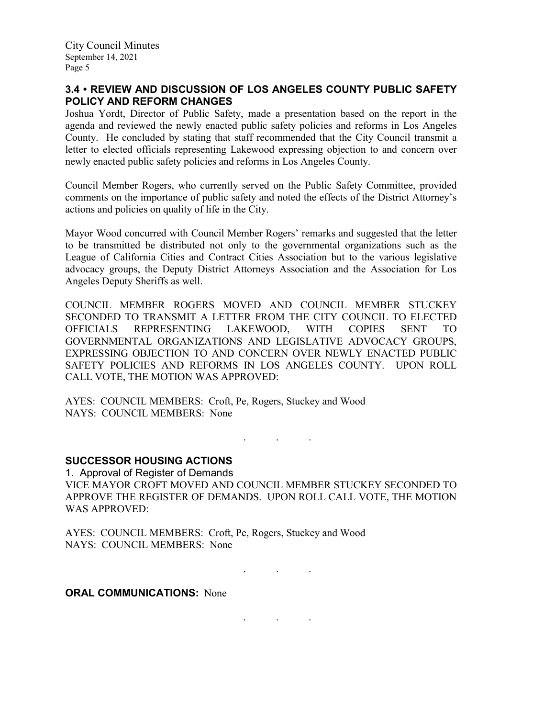# **3.4 • REVIEW AND DISCUSSION OF LOS ANGELES COUNTY PUBLIC SAFETY POLICY AND REFORM CHANGES**

Joshua Yordt, Director of Public Safety, made a presentation based on the report in the agenda and reviewed the newly enacted public safety policies and reforms in Los Angeles County. He concluded by stating that staff recommended that the City Council transmit a letter to elected officials representing Lakewood expressing objection to and concern over newly enacted public safety policies and reforms in Los Angeles County.

Council Member Rogers, who currently served on the Public Safety Committee, provided comments on the importance of public safety and noted the effects of the District Attorney's actions and policies on quality of life in the City.

Mayor Wood concurred with Council Member Rogers' remarks and suggested that the letter to be transmitted be distributed not only to the governmental organizations such as the League of California Cities and Contract Cities Association but to the various legislative advocacy groups, the Deputy District Attorneys Association and the Association for Los Angeles Deputy Sheriffs as well.

COUNCIL MEMBER ROGERS MOVED AND COUNCIL MEMBER STUCKEY SECONDED TO TRANSMIT A LETTER FROM THE CITY COUNCIL TO ELECTED OFFICIALS REPRESENTING LAKEWOOD, WITH COPIES SENT TO GOVERNMENTAL ORGANIZATIONS AND LEGISLATIVE ADVOCACY GROUPS, EXPRESSING OBJECTION TO AND CONCERN OVER NEWLY ENACTED PUBLIC SAFETY POLICIES AND REFORMS IN LOS ANGELES COUNTY. UPON ROLL CALL VOTE, THE MOTION WAS APPROVED:

AYES: COUNCIL MEMBERS: Croft, Pe, Rogers, Stuckey and Wood NAYS: COUNCIL MEMBERS: None

. . .

## **SUCCESSOR HOUSING ACTIONS**

1. Approval of Register of Demands VICE MAYOR CROFT MOVED AND COUNCIL MEMBER STUCKEY SECONDED TO APPROVE THE REGISTER OF DEMANDS. UPON ROLL CALL VOTE, THE MOTION WAS APPROVED:

AYES: COUNCIL MEMBERS: Croft, Pe, Rogers, Stuckey and Wood NAYS: COUNCIL MEMBERS: None

. . .

**ORAL COMMUNICATIONS: None** 

. . .